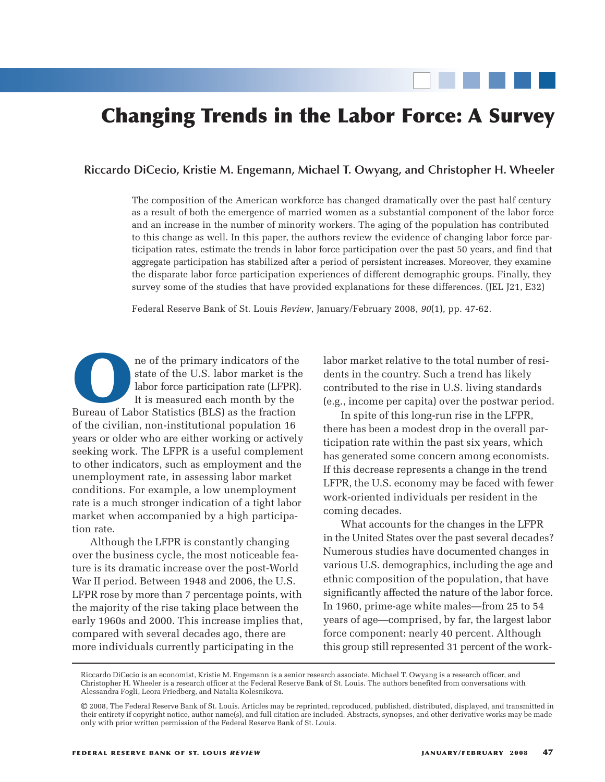# **Changing Trends in the Labor Force: A Survey**

#### **Riccardo DiCecio, Kristie M. Engemann, Michael T. Owyang, and Christopher H. Wheeler**

The composition of the American workforce has changed dramatically over the past half century as a result of both the emergence of married women as a substantial component of the labor force and an increase in the number of minority workers. The aging of the population has contributed to this change as well. In this paper, the authors review the evidence of changing labor force participation rates, estimate the trends in labor force participation over the past 50 years, and find that aggregate participation has stabilized after a period of persistent increases. Moreover, they examine the disparate labor force participation experiences of different demographic groups. Finally, they survey some of the studies that have provided explanations for these differences. (JEL J21, E32)

Federal Reserve Bank of St. Louis *Review*, January/February 2008, *90*(1), pp. 47-62.

**O**ne of the primary indicators of the state of the U.S. labor market is the labor force participation rate (LFPR) It is measured each month by the Bureau of Labor Statistics (BLS) as the fraction state of the U.S. labor market is the labor force participation rate (LFPR). It is measured each month by the of the civilian, non-institutional population 16 years or older who are either working or actively seeking work. The LFPR is a useful complement to other indicators, such as employment and the unemployment rate, in assessing labor market conditions. For example, a low unemployment rate is a much stronger indication of a tight labor market when accompanied by a high participation rate.

Although the LFPR is constantly changing over the business cycle, the most noticeable feature is its dramatic increase over the post-World War II period. Between 1948 and 2006, the U.S. LFPR rose by more than 7 percentage points, with the majority of the rise taking place between the early 1960s and 2000. This increase implies that, compared with several decades ago, there are more individuals currently participating in the

labor market relative to the total number of residents in the country. Such a trend has likely contributed to the rise in U.S. living standards (e.g., income per capita) over the postwar period.

In spite of this long-run rise in the LFPR, there has been a modest drop in the overall participation rate within the past six years, which has generated some concern among economists. If this decrease represents a change in the trend LFPR, the U.S. economy may be faced with fewer work-oriented individuals per resident in the coming decades.

What accounts for the changes in the LFPR in the United States over the past several decades? Numerous studies have documented changes in various U.S. demographics, including the age and ethnic composition of the population, that have significantly affected the nature of the labor force. In 1960, prime-age white males—from 25 to 54 years of age—comprised, by far, the largest labor force component: nearly 40 percent. Although this group still represented 31 percent of the work-

Riccardo DiCecio is an economist, Kristie M. Engemann is a senior research associate, Michael T. Owyang is a research officer, and Christopher H. Wheeler is a research officer at the Federal Reserve Bank of St. Louis. The authors benefited from conversations with Alessandra Fogli, Leora Friedberg, and Natalia Kolesnikova.

<sup>©</sup> 2008, The Federal Reserve Bank of St. Louis. Articles may be reprinted, reproduced, published, distributed, displayed, and transmitted in their entirety if copyright notice, author name(s), and full citation are included. Abstracts, synopses, and other derivative works may be made only with prior written permission of the Federal Reserve Bank of St. Louis.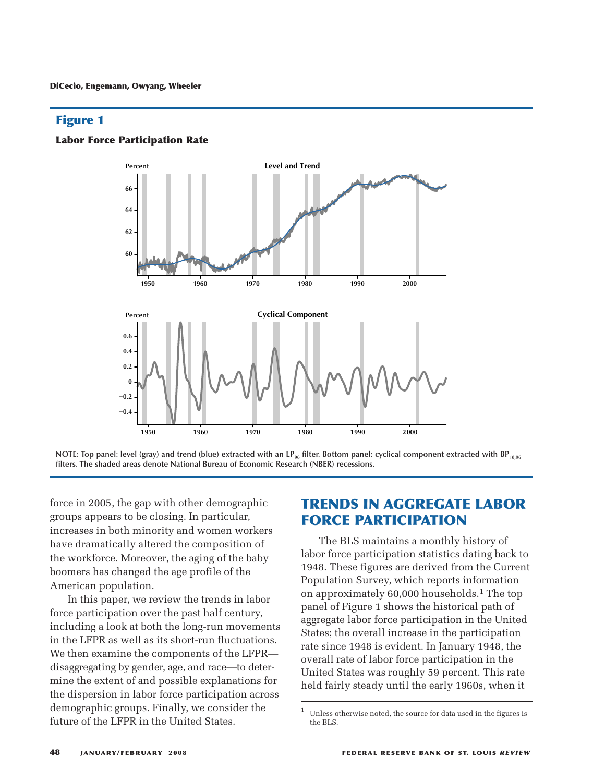





force in 2005, the gap with other demographic groups appears to be closing. In particular, increases in both minority and women workers have dramatically altered the composition of the workforce. Moreover, the aging of the baby boomers has changed the age profile of the American population.

In this paper, we review the trends in labor force participation over the past half century, including a look at both the long-run movements in the LFPR as well as its short-run fluctuations. We then examine the components of the LFPR disaggregating by gender, age, and race—to determine the extent of and possible explanations for the dispersion in labor force participation across demographic groups. Finally, we consider the future of the LFPR in the United States.

# **TRENDS IN AGGREGATE LABOR FORCE PARTICIPATION**

The BLS maintains a monthly history of labor force participation statistics dating back to 1948. These figures are derived from the Current Population Survey, which reports information on approximately 60,000 households. 1 The top panel of Figure 1 shows the historical path of aggregate labor force participation in the United States; the overall increase in the participation rate since 1948 is evident. In January 1948, the overall rate of labor force participation in the United States was roughly 59 percent. This rate held fairly steady until the early 1960s, when it

 $1$  Unless otherwise noted, the source for data used in the figures is the BLS.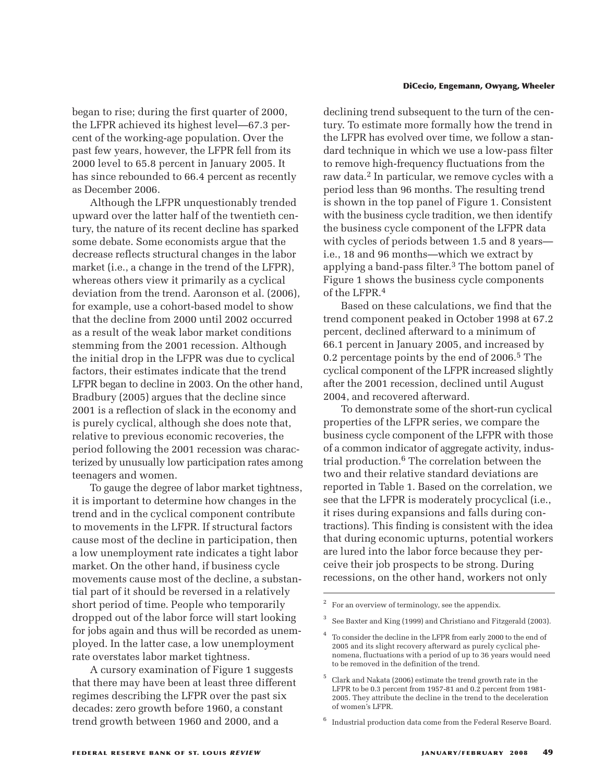## began to rise; during the first quarter of 2000, the LFPR achieved its highest level—67.3 percent of the working-age population. Over the past few years, however, the LFPR fell from its 2000 level to 65.8 percent in January 2005. It has since rebounded to 66.4 percent as recently as December 2006.

Although the LFPR unquestionably trended upward over the latter half of the twentieth century, the nature of its recent decline has sparked some debate. Some economists argue that the decrease reflects structural changes in the labor market (i.e., a change in the trend of the LFPR), whereas others view it primarily as a cyclical deviation from the trend. Aaronson et al. (2006), for example, use a cohort-based model to show that the decline from 2000 until 2002 occurred as a result of the weak labor market conditions stemming from the 2001 recession. Although the initial drop in the LFPR was due to cyclical factors, their estimates indicate that the trend LFPR began to decline in 2003. On the other hand, Bradbury (2005) argues that the decline since 2001 is a reflection of slack in the economy and is purely cyclical, although she does note that, relative to previous economic recoveries, the period following the 2001 recession was characterized by unusually low participation rates among teenagers and women.

To gauge the degree of labor market tightness, it is important to determine how changes in the trend and in the cyclical component contribute to movements in the LFPR. If structural factors cause most of the decline in participation, then a low unemployment rate indicates a tight labor market. On the other hand, if business cycle movements cause most of the decline, a substantial part of it should be reversed in a relatively short period of time. People who temporarily dropped out of the labor force will start looking for jobs again and thus will be recorded as unemployed. In the latter case, a low unemployment rate overstates labor market tightness.

A cursory examination of Figure 1 suggests that there may have been at least three different regimes describing the LFPR over the past six decades: zero growth before 1960, a constant trend growth between 1960 and 2000, and a

#### **DiCecio, Engemann, Owyang, Wheeler**

declining trend subsequent to the turn of the century. To estimate more formally how the trend in the LFPR has evolved over time, we follow a standard technique in which we use a low-pass filter to remove high-frequency fluctuations from the raw data. 2 In particular, we remove cycles with a period less than 96 months. The resulting trend is shown in the top panel of Figure 1. Consistent with the business cycle tradition, we then identify the business cycle component of the LFPR data with cycles of periods between 1.5 and 8 years i.e., 18 and 96 months—which we extract by applying a band-pass filter. 3 The bottom panel of Figure 1 shows the business cycle components of the LFPR. 4

Based on these calculations, we find that the trend component peaked in October 1998 at 67.2 percent, declined afterward to a minimum of 66.1 percent in January 2005, and increased by 0.2 percentage points by the end of 2006. 5 The cyclical component of the LFPR increased slightly after the 2001 recession, declined until August 2004, and recovered afterward.

To demonstrate some of the short-run cyclical properties of the LFPR series, we compare the business cycle component of the LFPR with those of a common indicator of aggregate activity, industrial production. 6 The correlation between the two and their relative standard deviations are reported in Table 1. Based on the correlation, we see that the LFPR is moderately procyclical (i.e., it rises during expansions and falls during contractions). This finding is consistent with the idea that during economic upturns, potential workers are lured into the labor force because they perceive their job prospects to be strong. During recessions, on the other hand, workers not only

For an overview of terminology, see the appendix.

<sup>3</sup> See Baxter and King (1999) and Christiano and Fitzgerald (2003).

<sup>4</sup> To consider the decline in the LFPR from early 2000 to the end of 2005 and its slight recovery afterward as purely cyclical phenomena, fluctuations with a period of up to 36 years would need to be removed in the definition of the trend.

<sup>5</sup> Clark and Nakata (2006) estimate the trend growth rate in the LFPR to be 0.3 percent from 1957-81 and 0.2 percent from 1981- 2005. They attribute the decline in the trend to the deceleration of women's LFPR.

<sup>6</sup> Industrial production data come from the Federal Reserve Board.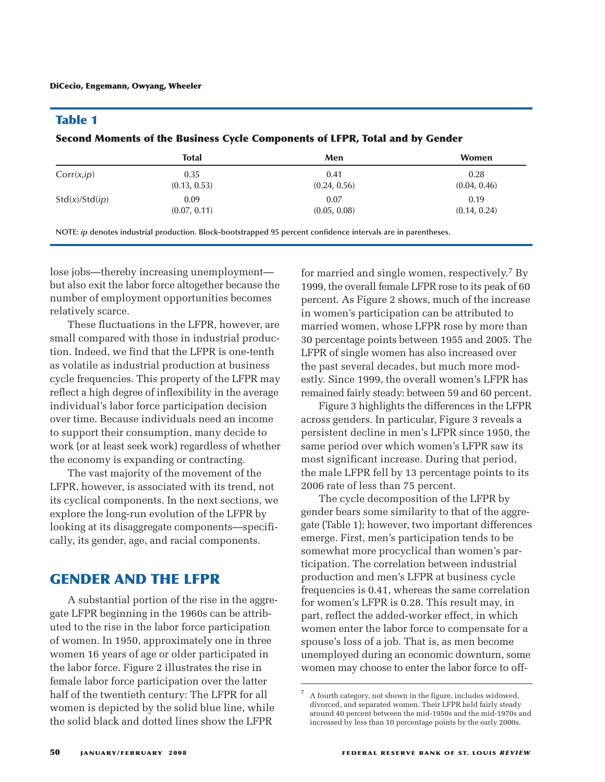## **Table 1**

#### **Second Moments of the Business Cycle Components of LFPR, Total and by Gender**

|                | <b>Total</b> | Men          | <b>Women</b> |
|----------------|--------------|--------------|--------------|
| Corr(x,ip)     | 0.35         | 0.41         | 0.28         |
|                | (0.13, 0.53) | (0.24, 0.56) | (0.04, 0.46) |
| Std(x)/Std(ip) | 0.09         | 0.07         | 0.19         |
|                | (0.07, 0.11) | (0.05, 0.08) | (0.14, 0.24) |

**NOTE:** *ip* **denotes industrial production. Block-bootstrapped 95 percent confidence intervals are in parentheses.**

lose jobs—thereby increasing unemployment but also exit the labor force altogether because the number of employment opportunities becomes relatively scarce.

These fluctuations in the LFPR, however, are small compared with those in industrial production. Indeed, we find that the LFPR is one-tenth as volatile as industrial production at business cycle frequencies. This property of the LFPR may reflect a high degree of inflexibility in the average individual's labor force participation decision over time. Because individuals need an income to support their consumption, many decide to work (or at least seek work) regardless of whether the economy is expanding or contracting.

The vast majority of the movement of the LFPR, however, is associated with its trend, not its cyclical components. In the next sections, we explore the long-run evolution of the LFPR by looking at its disaggregate components—specifically, its gender, age, and racial components.

# **GENDER AND THE LFPR**

A substantial portion of the rise in the aggregate LFPR beginning in the 1960s can be attributed to the rise in the labor force participation of women. In 1950, approximately one in three women 16 years of age or older participated in the labor force. Figure 2 illustrates the rise in female labor force participation over the latter half of the twentieth century: The LFPR for all women is depicted by the solid blue line, while the solid black and dotted lines show the LFPR

for married and single women, respectively. 7 By 1999, the overall female LFPR rose to its peak of 60 percent. As Figure 2 shows, much of the increase in women's participation can be attributed to married women, whose LFPR rose by more than 30 percentage points between 1955 and 2005. The LFPR of single women has also increased over the past several decades, but much more modestly. Since 1999, the overall women's LFPR has remained fairly steady: between 59 and 60 percent.

Figure 3 highlights the differences in the LFPR across genders. In particular, Figure 3 reveals a persistent decline in men's LFPR since 1950, the same period over which women's LFPR saw its most significant increase. During that period, the male LFPR fell by 13 percentage points to its 2006 rate of less than 75 percent.

The cycle decomposition of the LFPR by gender bears some similarity to that of the aggregate (Table 1); however, two important differences emerge. First, men's participation tends to be somewhat more procyclical than women's participation. The correlation between industrial production and men's LFPR at business cycle frequencies is 0.41, whereas the same correlation for women's LFPR is 0.28. This result may, in part, reflect the added-worker effect, in which women enter the labor force to compensate for a spouse's loss of a job. That is, as men become unemployed during an economic downturn, some women may choose to enter the labor force to off-

<sup>7</sup> A fourth category, not shown in the figure, includes widowed, divorced, and separated women. Their LFPR held fairly steady around 40 percent between the mid-1950s and the mid-1970s and increased by less than 10 percentage points by the early 2000s.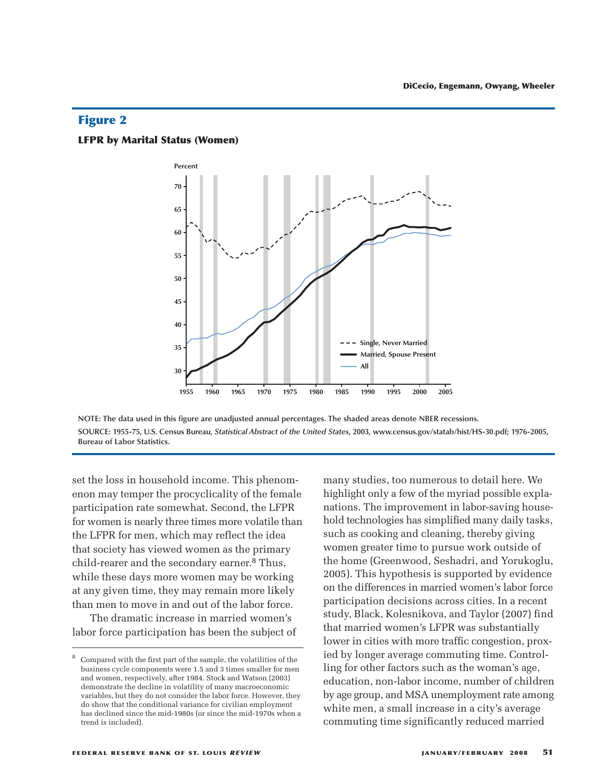#### **LFPR by Marital Status (Women)**



NOTE: The data used in this figure are unadjusted annual percentages. The shaded areas denote NBER recessions. SOURCE: 1955-75, U.S. Census Bureau, Statistical Abstract of the United States, 2003, www.census.gov/statab/hist/HS-30.pdf; 1976-2005, **Bureau of Labor Statistics.**

set the loss in household income. This phenomenon may temper the procyclicality of the female participation rate somewhat. Second, the LFPR for women is nearly three times more volatile than the LFPR for men, which may reflect the idea that society has viewed women as the primary child-rearer and the secondary earner. 8 Thus, while these days more women may be working at any given time, they may remain more likely than men to move in and out of the labor force.

The dramatic increase in married women's labor force participation has been the subject of many studies, too numerous to detail here. We highlight only a few of the myriad possible explanations. The improvement in labor-saving household technologies has simplified many daily tasks, such as cooking and cleaning, thereby giving women greater time to pursue work outside of the home (Greenwood, Seshadri, and Yorukoglu, 2005). This hypothesis is supported by evidence on the differences in married women's labor force participation decisions across cities. In a recent study, Black, Kolesnikova, and Taylor (2007) find that married women's LFPR was substantially lower in cities with more traffic congestion, proxied by longer average commuting time. Controlling for other factors such as the woman's age, education, non-labor income, number of children by age group, and MSA unemployment rate among white men, a small increase in a city's average commuting time significantly reduced married

<sup>8</sup> Compared with the first part of the sample, the volatilities of the business cycle components were 1.5 and 3 times smaller for men and women, respectively, after 1984. Stock and Watson (2003) demonstrate the decline in volatility of many macroeconomic variables, but they do not consider the labor force. However, they do show that the conditional variance for civilian employment has declined since the mid-1980s (or since the mid-1970s when a trend is included).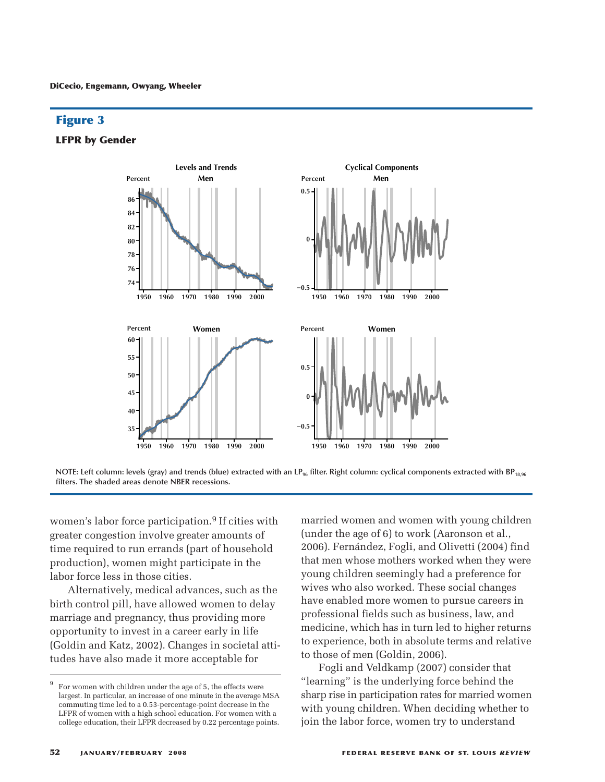**LFPR by Gender**



NOTE: Left column: levels (gray) and trends (blue) extracted with an LP<sub>96</sub> filter. Right column: cyclical components extracted with BP<sub>18.96</sub> **filters. The shaded areas denote NBER recessions.**

women's labor force participation. 9 If cities with greater congestion involve greater amounts of time required to run errands (part of household production), women might participate in the labor force less in those cities.

Alternatively, medical advances, such as the birth control pill, have allowed women to delay marriage and pregnancy, thus providing more opportunity to invest in a career early in life (Goldin and Katz, 2002). Changes in societal attitudes have also made it more acceptable for

married women and women with young children (under the age of 6) to work (Aaronson et al., 2006). Fernández, Fogli, and Olivetti (2004) find that men whose mothers worked when they were young children seemingly had a preference for wives who also worked. These social changes have enabled more women to pursue careers in professional fields such as business, law, and medicine, which has in turn led to higher returns to experience, both in absolute terms and relative to those of men (Goldin, 2006).

Fogli and Veldkamp (2007) consider that "learning" is the underlying force behind the sharp rise in participation rates for married women with young children. When deciding whether to join the labor force, women try to understand

For women with children under the age of 5, the effects were largest. In particular, an increase of one minute in the average MSA commuting time led to a 0.53-percentage-point decrease in the LFPR of women with a high school education. For women with a college education, their LFPR decreased by 0.22 percentage points.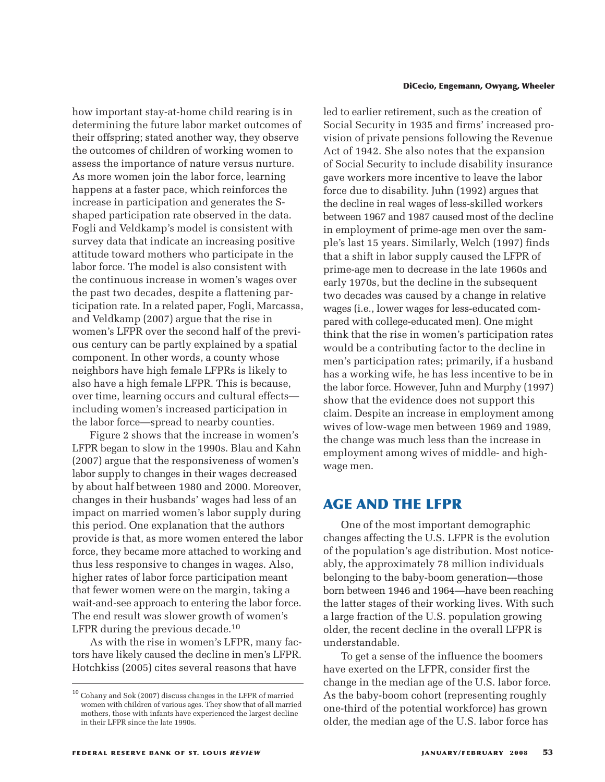how important stay-at-home child rearing is in determining the future labor market outcomes of their offspring; stated another way, they observe the outcomes of children of working women to assess the importance of nature versus nurture. As more women join the labor force, learning happens at a faster pace, which reinforces the increase in participation and generates the Sshaped participation rate observed in the data. Fogli and Veldkamp's model is consistent with survey data that indicate an increasing positive attitude toward mothers who participate in the labor force. The model is also consistent with the continuous increase in women's wages over the past two decades, despite a flattening participation rate. In a related paper, Fogli, Marcassa, and Veldkamp (2007) argue that the rise in women's LFPR over the second half of the previous century can be partly explained by a spatial component. In other words, a county whose neighbors have high female LFPRs is likely to also have a high female LFPR. This is because, over time, learning occurs and cultural effects including women's increased participation in the labor force—spread to nearby counties.

Figure 2 shows that the increase in women's LFPR began to slow in the 1990s. Blau and Kahn (2007) argue that the responsiveness of women's labor supply to changes in their wages decreased by about half between 1980 and 2000. Moreover, changes in their husbands' wages had less of an impact on married women's labor supply during this period. One explanation that the authors provide is that, as more women entered the labor force, they became more attached to working and thus less responsive to changes in wages. Also, higher rates of labor force participation meant that fewer women were on the margin, taking a wait-and-see approach to entering the labor force. The end result was slower growth of women's LFPR during the previous decade.<sup>10</sup>

As with the rise in women's LFPR, many factors have likely caused the decline in men's LFPR. Hotchkiss (2005) cites several reasons that have

#### **DiCecio, Engemann, Owyang, Wheeler**

led to earlier retirement, such as the creation of Social Security in 1935 and firms' increased provision of private pensions following the Revenue Act of 1942. She also notes that the expansion of Social Security to include disability insurance gave workers more incentive to leave the labor force due to disability. Juhn (1992) argues that the decline in real wages of less-skilled workers between 1967 and 1987 caused most of the decline in employment of prime-age men over the sample's last 15 years. Similarly, Welch (1997) finds that a shift in labor supply caused the LFPR of prime-age men to decrease in the late 1960s and early 1970s, but the decline in the subsequent two decades was caused by a change in relative wages (i.e., lower wages for less-educated compared with college-educated men). One might think that the rise in women's participation rates would be a contributing factor to the decline in men's participation rates; primarily, if a husband has a working wife, he has less incentive to be in the labor force. However, Juhn and Murphy (1997) show that the evidence does not support this claim. Despite an increase in employment among wives of low-wage men between 1969 and 1989, the change was much less than the increase in employment among wives of middle- and highwage men.

# **AGE AND THE LFPR**

One of the most important demographic changes affecting the U.S. LFPR is the evolution of the population's age distribution. Most noticeably, the approximately 78 million individuals belonging to the baby-boom generation—those born between 1946 and 1964—have been reaching the latter stages of their working lives. With such a large fraction of the U.S. population growing older, the recent decline in the overall LFPR is understandable.

To get a sense of the influence the boomers have exerted on the LFPR, consider first the change in the median age of the U.S. labor force. As the baby-boom cohort (representing roughly one-third of the potential workforce) has grown older, the median age of the U.S. labor force has

 $^{\rm 10}$  Cohany and Sok (2007) discuss changes in the LFPR of married women with children of various ages. They show that of all married mothers, those with infants have experienced the largest decline in their LFPR since the late 1990s.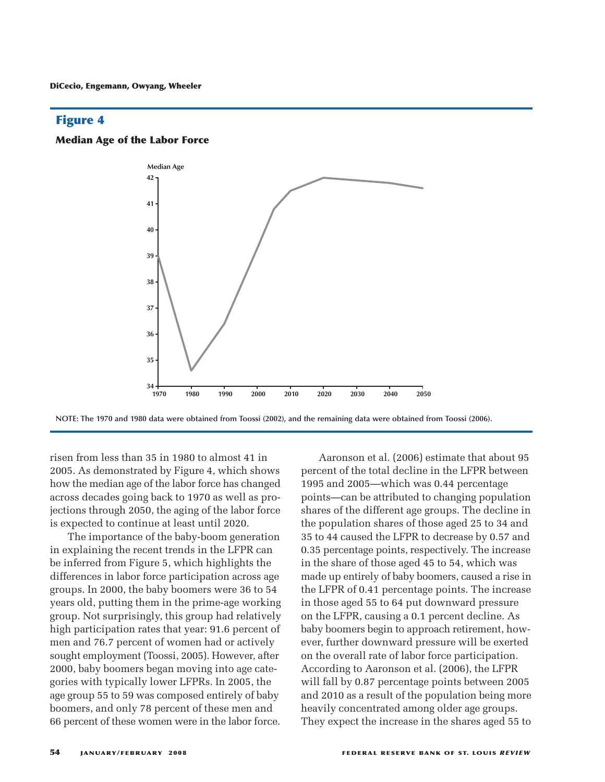#### **Median Age of the Labor Force**



NOTE: The 1970 and 1980 data were obtained from Toossi (2002), and the remaining data were obtained from Toossi (2006).

risen from less than 35 in 1980 to almost 41 in 2005. As demonstrated by Figure 4, which shows how the median age of the labor force has changed across decades going back to 1970 as well as projections through 2050, the aging of the labor force is expected to continue at least until 2020.

The importance of the baby-boom generation in explaining the recent trends in the LFPR can be inferred from Figure 5, which highlights the differences in labor force participation across age groups. In 2000, the baby boomers were 36 to 54 years old, putting them in the prime-age working group. Not surprisingly, this group had relatively high participation rates that year: 91.6 percent of men and 76.7 percent of women had or actively sought employment (Toossi, 2005). However, after 2000, baby boomers began moving into age categories with typically lower LFPRs. In 2005, the age group 55 to 59 was composed entirely of baby boomers, and only 78 percent of these men and 66 percent of these women were in the labor force.

Aaronson et al. (2006) estimate that about 95 percent of the total decline in the LFPR between 1995 and 2005—which was 0.44 percentage points—can be attributed to changing population shares of the different age groups. The decline in the population shares of those aged 25 to 34 and 35 to 44 caused the LFPR to decrease by 0.57 and 0.35 percentage points, respectively. The increase in the share of those aged 45 to 54, which was made up entirely of baby boomers, caused a rise in the LFPR of 0.41 percentage points. The increase in those aged 55 to 64 put downward pressure on the LFPR, causing a 0.1 percent decline. As baby boomers begin to approach retirement, however, further downward pressure will be exerted on the overall rate of labor force participation. According to Aaronson et al. (2006), the LFPR will fall by 0.87 percentage points between 2005 and 2010 as a result of the population being more heavily concentrated among older age groups. They expect the increase in the shares aged 55 to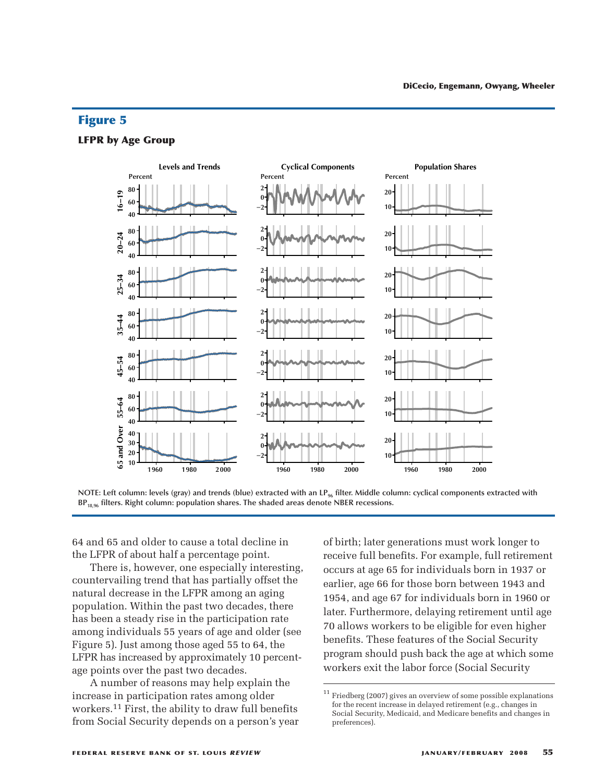#### **LFPR by Age Group**



NOTE: Left column: levels (gray) and trends (blue) extracted with an LP<sub>96</sub> filter. Middle column: cyclical components extracted with **BP18,96 filters. Right column: population shares. The shaded areas denote NBER recessions.**

64 and 65 and older to cause a total decline in the LFPR of about half a percentage point.

There is, however, one especially interesting, countervailing trend that has partially offset the natural decrease in the LFPR among an aging population. Within the past two decades, there has been a steady rise in the participation rate among individuals 55 years of age and older (see Figure 5). Just among those aged 55 to 64, the LFPR has increased by approximately 10 percentage points over the past two decades.

A number of reasons may help explain the increase in participation rates among older workers. 11 First, the ability to draw full benefits from Social Security depends on a person's year of birth; later generations must work longer to receive full benefits. For example, full retirement occurs at age 65 for individuals born in 1937 or earlier, age 66 for those born between 1943 and 1954, and age 67 for individuals born in 1960 or later. Furthermore, delaying retirement until age 70 allows workers to be eligible for even higher benefits. These features of the Social Security program should push back the age at which some workers exit the labor force (Social Security

 $^\mathrm{11}$ Friedberg (2007) gives an overview of some possible explanations for the recent increase in delayed retirement (e.g., changes in Social Security, Medicaid, and Medicare benefits and changes in preferences).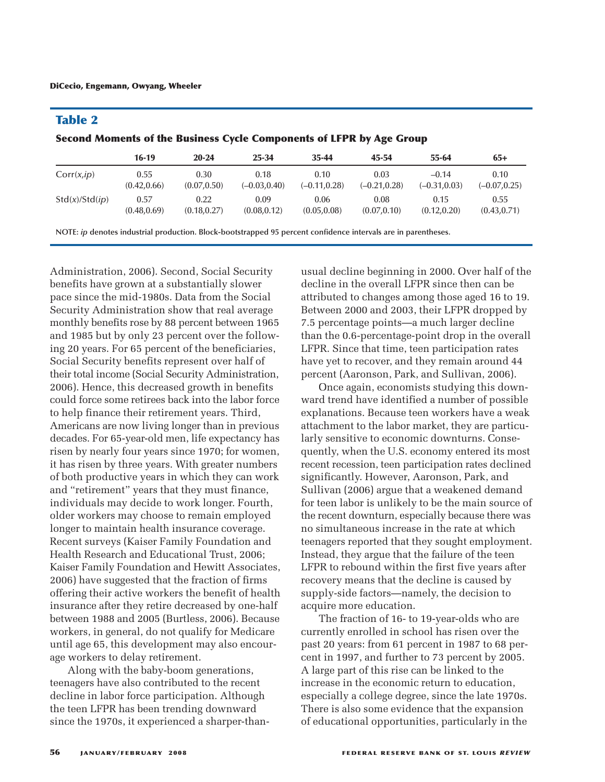## **Table 2**

**Second Moments of the Business Cycle Components of LFPR by Age Group**

|                | $16-19$      | $20 - 24$    | 25-34           | $35 - 44$       | 45-54           | 55-64           | $65+$           |
|----------------|--------------|--------------|-----------------|-----------------|-----------------|-----------------|-----------------|
| Corr(x,ip)     | 0.55         | 0.30         | 0.18            | 0.10            | 0.03            | $-0.14$         | 0.10            |
|                | (0.42, 0.66) | (0.07, 0.50) | $(-0.03, 0.40)$ | $(-0.11, 0.28)$ | $(-0.21, 0.28)$ | $(-0.31, 0.03)$ | $(-0.07, 0.25)$ |
| Std(x)/Std(ip) | 0.57         | 0.22         | 0.09            | 0.06            | 0.08            | 0.15            | 0.55            |
|                | (0.48, 0.69) | (0.18, 0.27) | (0.08, 0.12)    | (0.05, 0.08)    | (0.07, 0.10)    | (0.12, 0.20)    | (0.43, 0.71)    |

**NOTE:** *ip* **denotes industrial production. Block-bootstrapped 95 percent confidence intervals are in parentheses.**

Administration, 2006). Second, Social Security benefits have grown at a substantially slower pace since the mid-1980s. Data from the Social Security Administration show that real average monthly benefits rose by 88 percent between 1965 and 1985 but by only 23 percent over the following 20 years. For 65 percent of the beneficiaries, Social Security benefits represent over half of their total income (Social Security Administration, 2006). Hence, this decreased growth in benefits could force some retirees back into the labor force to help finance their retirement years. Third, Americans are now living longer than in previous decades. For 65-year-old men, life expectancy has risen by nearly four years since 1970; for women, it has risen by three years. With greater numbers of both productive years in which they can work and "retirement" years that they must finance, individuals may decide to work longer. Fourth, older workers may choose to remain employed longer to maintain health insurance coverage. Recent surveys (Kaiser Family Foundation and Health Research and Educational Trust, 2006; Kaiser Family Foundation and Hewitt Associates, 2006) have suggested that the fraction of firms offering their active workers the benefit of health insurance after they retire decreased by one-half between 1988 and 2005 (Burtless, 2006). Because workers, in general, do not qualify for Medicare until age 65, this development may also encourage workers to delay retirement.

Along with the baby-boom generations, teenagers have also contributed to the recent decline in labor force participation. Although the teen LFPR has been trending downward since the 1970s, it experienced a sharper-thanusual decline beginning in 2000. Over half of the decline in the overall LFPR since then can be attributed to changes among those aged 16 to 19. Between 2000 and 2003, their LFPR dropped by 7.5 percentage points—a much larger decline than the 0.6-percentage-point drop in the overall LFPR. Since that time, teen participation rates have yet to recover, and they remain around 44 percent (Aaronson, Park, and Sullivan, 2006).

Once again, economists studying this downward trend have identified a number of possible explanations. Because teen workers have a weak attachment to the labor market, they are particularly sensitive to economic downturns. Consequently, when the U.S. economy entered its most recent recession, teen participation rates declined significantly. However, Aaronson, Park, and Sullivan (2006) argue that a weakened demand for teen labor is unlikely to be the main source of the recent downturn, especially because there was no simultaneous increase in the rate at which teenagers reported that they sought employment. Instead, they argue that the failure of the teen LFPR to rebound within the first five years after recovery means that the decline is caused by supply-side factors—namely, the decision to acquire more education.

The fraction of 16- to 19-year-olds who are currently enrolled in school has risen over the past 20 years: from 61 percent in 1987 to 68 percent in 1997, and further to 73 percent by 2005. A large part of this rise can be linked to the increase in the economic return to education, especially a college degree, since the late 1970s. There is also some evidence that the expansion of educational opportunities, particularly in the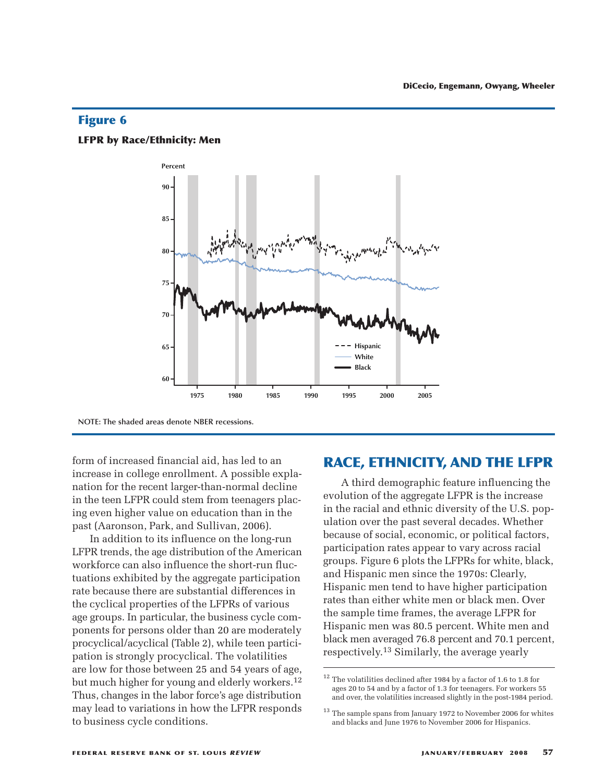#### **LFPR by Race/Ethnicity: Men**



**NOTE: The shaded areas denote NBER recessions.**

form of increased financial aid, has led to an increase in college enrollment. A possible explanation for the recent larger-than-normal decline in the teen LFPR could stem from teenagers placing even higher value on education than in the past (Aaronson, Park, and Sullivan, 2006).

In addition to its influence on the long-run LFPR trends, the age distribution of the American workforce can also influence the short-run fluctuations exhibited by the aggregate participation rate because there are substantial differences in the cyclical properties of the LFPRs of various age groups. In particular, the business cycle components for persons older than 20 are moderately procyclical/acyclical (Table 2), while teen participation is strongly procyclical. The volatilities are low for those between 25 and 54 years of age, but much higher for young and elderly workers. 12 Thus, changes in the labor force's age distribution may lead to variations in how the LFPR responds to business cycle conditions.

# **RACE, ETHNICITY, AND THE LFPR**

A third demographic feature influencing the evolution of the aggregate LFPR is the increase in the racial and ethnic diversity of the U.S. population over the past several decades. Whether because of social, economic, or political factors, participation rates appear to vary across racial groups. Figure 6 plots the LFPRs for white, black, and Hispanic men since the 1970s: Clearly, Hispanic men tend to have higher participation rates than either white men or black men. Over the sample time frames, the average LFPR for Hispanic men was 80.5 percent. White men and black men averaged 76.8 percent and 70.1 percent, respectively. 13 Similarly, the average yearly

 $^{12}$  The volatilities declined after 1984 by a factor of 1.6 to 1.8 for ages 20 to 54 and by a factor of 1.3 for teenagers. For workers 55 and over, the volatilities increased slightly in the post-1984 period.

 $^{\rm 13}$  The sample spans from January 1972 to November 2006 for whites and blacks and June 1976 to November 2006 for Hispanics.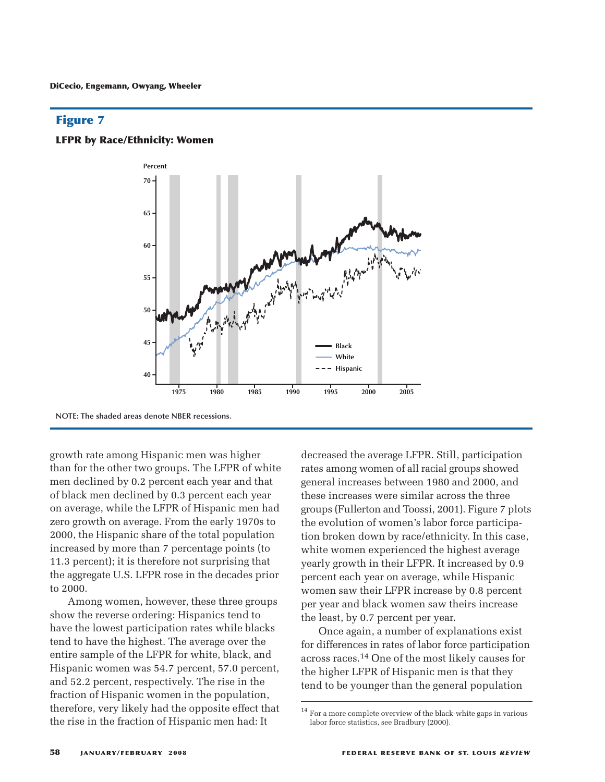#### **LFPR by Race/Ethnicity: Women**



**NOTE: The shaded areas denote NBER recessions.**

growth rate among Hispanic men was higher than for the other two groups. The LFPR of white men declined by 0.2 percent each year and that of black men declined by 0.3 percent each year on average, while the LFPR of Hispanic men had zero growth on average. From the early 1970s to 2000, the Hispanic share of the total population increased by more than 7 percentage points (to 11.3 percent); it is therefore not surprising that the aggregate U.S. LFPR rose in the decades prior to 2000.

Among women, however, these three groups show the reverse ordering: Hispanics tend to have the lowest participation rates while blacks tend to have the highest. The average over the entire sample of the LFPR for white, black, and Hispanic women was 54.7 percent, 57.0 percent, and 52.2 percent, respectively. The rise in the fraction of Hispanic women in the population, therefore, very likely had the opposite effect that the rise in the fraction of Hispanic men had: It

decreased the average LFPR. Still, participation rates among women of all racial groups showed general increases between 1980 and 2000, and these increases were similar across the three groups (Fullerton and Toossi, 2001). Figure 7 plots the evolution of women's labor force participation broken down by race/ethnicity. In this case, white women experienced the highest average yearly growth in their LFPR. It increased by 0.9 percent each year on average, while Hispanic women saw their LFPR increase by 0.8 percent per year and black women saw theirs increase the least, by 0.7 percent per year.

Once again, a number of explanations exist for differences in rates of labor force participation across races. 14 One of the most likely causes for the higher LFPR of Hispanic men is that they tend to be younger than the general population

 $^{\rm 14}$  For a more complete overview of the black-white gaps in various labor force statistics, see Bradbury (2000).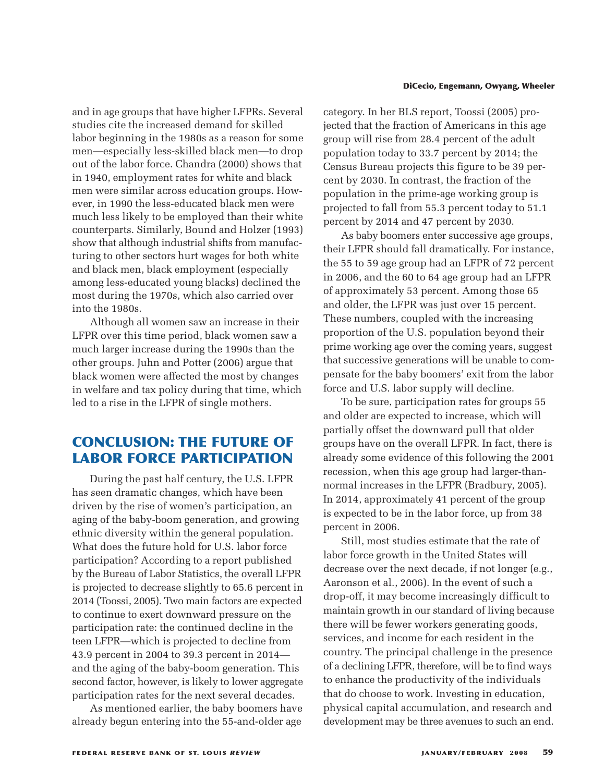and in age groups that have higher LFPRs. Several studies cite the increased demand for skilled labor beginning in the 1980s as a reason for some men—especially less-skilled black men—to drop out of the labor force. Chandra (2000) shows that in 1940, employment rates for white and black men were similar across education groups. However, in 1990 the less-educated black men were much less likely to be employed than their white counterparts. Similarly, Bound and Holzer (1993) show that although industrial shifts from manufacturing to other sectors hurt wages for both white and black men, black employment (especially among less-educated young blacks) declined the most during the 1970s, which also carried over into the 1980s.

Although all women saw an increase in their LFPR over this time period, black women saw a much larger increase during the 1990s than the other groups. Juhn and Potter (2006) argue that black women were affected the most by changes in welfare and tax policy during that time, which led to a rise in the LFPR of single mothers.

# **CONCLUSION: THE FUTURE OF LABOR FORCE PARTICIPATION**

During the past half century, the U.S. LFPR has seen dramatic changes, which have been driven by the rise of women's participation, an aging of the baby-boom generation, and growing ethnic diversity within the general population. What does the future hold for U.S. labor force participation? According to a report published by the Bureau of Labor Statistics, the overall LFPR is projected to decrease slightly to 65.6 percent in 2014 (Toossi, 2005). Two main factors are expected to continue to exert downward pressure on the participation rate: the continued decline in the teen LFPR—which is projected to decline from 43.9 percent in 2004 to 39.3 percent in 2014 and the aging of the baby-boom generation. This second factor, however, is likely to lower aggregate participation rates for the next several decades.

As mentioned earlier, the baby boomers have already begun entering into the 55-and-older age

#### **DiCecio, Engemann, Owyang, Wheeler**

category. In her BLS report, Toossi (2005) projected that the fraction of Americans in this age group will rise from 28.4 percent of the adult population today to 33.7 percent by 2014; the Census Bureau projects this figure to be 39 percent by 2030. In contrast, the fraction of the population in the prime-age working group is projected to fall from 55.3 percent today to 51.1 percent by 2014 and 47 percent by 2030.

As baby boomers enter successive age groups, their LFPR should fall dramatically. For instance, the 55 to 59 age group had an LFPR of 72 percent in 2006, and the 60 to 64 age group had an LFPR of approximately 53 percent. Among those 65 and older, the LFPR was just over 15 percent. These numbers, coupled with the increasing proportion of the U.S. population beyond their prime working age over the coming years, suggest that successive generations will be unable to compensate for the baby boomers' exit from the labor force and U.S. labor supply will decline.

To be sure, participation rates for groups 55 and older are expected to increase, which will partially offset the downward pull that older groups have on the overall LFPR. In fact, there is already some evidence of this following the 2001 recession, when this age group had larger-thannormal increases in the LFPR (Bradbury, 2005). In 2014, approximately 41 percent of the group is expected to be in the labor force, up from 38 percent in 2006.

Still, most studies estimate that the rate of labor force growth in the United States will decrease over the next decade, if not longer (e.g., Aaronson et al., 2006). In the event of such a drop-off, it may become increasingly difficult to maintain growth in our standard of living because there will be fewer workers generating goods, services, and income for each resident in the country. The principal challenge in the presence of a declining LFPR, therefore, will be to find ways to enhance the productivity of the individuals that do choose to work. Investing in education, physical capital accumulation, and research and development may be three avenues to such an end.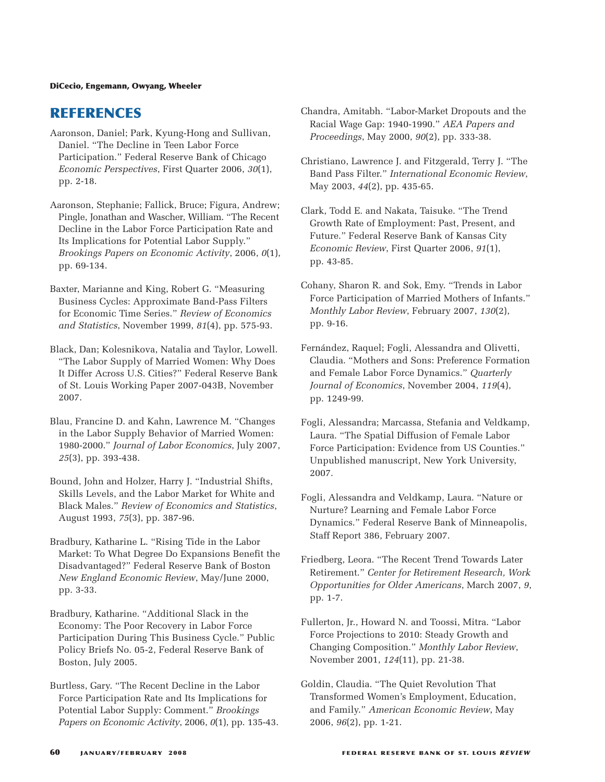#### **DiCecio, Engemann, Owyang, Wheeler**

# **REFERENCES**

- Aaronson, Daniel; Park, Kyung-Hong and Sullivan, Daniel. "The Decline in Teen Labor Force Participation." Federal Reserve Bank of Chicago *Economic Perspectives*, First Quarter 2006, *30*(1), pp. 2-18.
- Aaronson, Stephanie; Fallick, Bruce; Figura, Andrew; Pingle, Jonathan and Wascher, William. "The Recent Decline in the Labor Force Participation Rate and Its Implications for Potential Labor Supply." *Brookings Papers on Economic Activity*, 2006, *0*(1), pp. 69-134.
- Baxter, Marianne and King, Robert G. "Measuring Business Cycles: Approximate Band-Pass Filters for Economic Time Series." *Review of Economics and Statistics*, November 1999, *81*(4), pp. 575-93.
- Black, Dan; Kolesnikova, Natalia and Taylor, Lowell. "The Labor Supply of Married Women: Why Does It Differ Across U.S. Cities?" Federal Reserve Bank of St. Louis Working Paper 2007-043B, November 2007.
- Blau, Francine D. and Kahn, Lawrence M. "Changes in the Labor Supply Behavior of Married Women: 1980-2000." *Journal of Labor Economics*, July 2007, *25*(3), pp. 393-438.
- Bound, John and Holzer, Harry J. "Industrial Shifts, Skills Levels, and the Labor Market for White and Black Males." *Review of Economics and Statistics*, August 1993, *75*(3), pp. 387-96.
- Bradbury, Katharine L. "Rising Tide in the Labor Market: To What Degree Do Expansions Benefit the Disadvantaged?" Federal Reserve Bank of Boston *New England Economic Review*, May/June 2000, pp. 3-33.
- Bradbury, Katharine. "Additional Slack in the Economy: The Poor Recovery in Labor Force Participation During This Business Cycle." Public Policy Briefs No. 05-2, Federal Reserve Bank of Boston, July 2005.
- Burtless, Gary. "The Recent Decline in the Labor Force Participation Rate and Its Implications for Potential Labor Supply: Comment." *Brookings Papers on Economic Activity*, 2006, *0*(1), pp. 135-43.
- Chandra, Amitabh. "Labor-Market Dropouts and the Racial Wage Gap: 1940-1990." *AEA Papers and Proceedings*, May 2000, *90*(2), pp. 333-38.
- Christiano, Lawrence J. and Fitzgerald, Terry J. "The Band Pass Filter." *International Economic Review*, May 2003, *44*(2), pp. 435-65.
- Clark, Todd E. and Nakata, Taisuke. "The Trend Growth Rate of Employment: Past, Present, and Future." Federal Reserve Bank of Kansas City *Economic Review*, First Quarter 2006, *91*(1), pp. 43-85.
- Cohany, Sharon R. and Sok, Emy. "Trends in Labor Force Participation of Married Mothers of Infants." *Monthly Labor Review*, February 2007, *130*(2), pp. 9-16.
- Fernández, Raquel; Fogli, Alessandra and Olivetti, Claudia. "Mothers and Sons: Preference Formation and Female Labor Force Dynamics." *Quarterly Journal of Economics*, November 2004, *119*(4), pp. 1249-99.
- Fogli, Alessandra; Marcassa, Stefania and Veldkamp, Laura. "The Spatial Diffusion of Female Labor Force Participation: Evidence from US Counties." Unpublished manuscript, New York University, 2007.
- Fogli, Alessandra and Veldkamp, Laura. "Nature or Nurture? Learning and Female Labor Force Dynamics." Federal Reserve Bank of Minneapolis, Staff Report 386, February 2007.
- Friedberg, Leora. "The Recent Trend Towards Later Retirement." *Center for Retirement Research, Work Opportunities for Older Americans*, March 2007, *9*, pp. 1-7.
- Fullerton, Jr., Howard N. and Toossi, Mitra. "Labor Force Projections to 2010: Steady Growth and Changing Composition." *Monthly Labor Review*, November 2001, *124*(11), pp. 21-38.
- Goldin, Claudia. "The Quiet Revolution That Transformed Women's Employment, Education, and Family." *American Economic Review*, May 2006, *96*(2), pp. 1-21.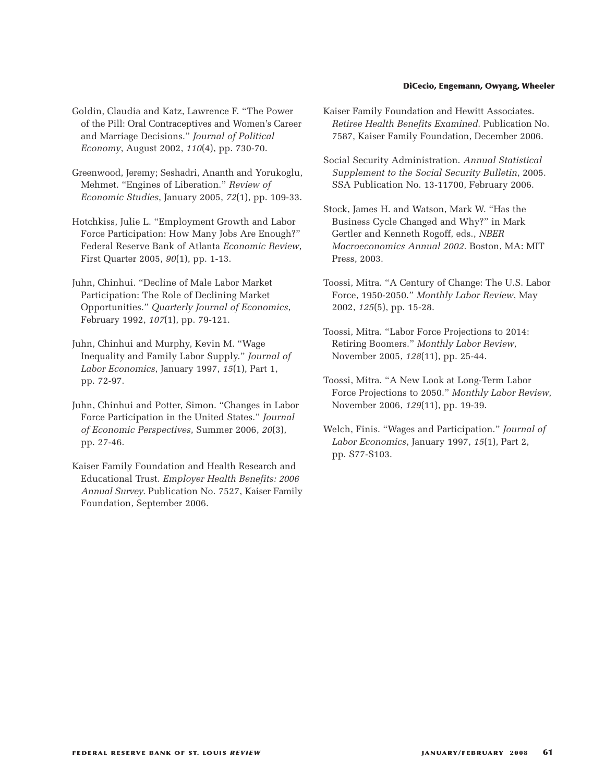#### **DiCecio, Engemann, Owyang, Wheeler**

- Goldin, Claudia and Katz, Lawrence F. "The Power of the Pill: Oral Contraceptives and Women's Career and Marriage Decisions." *Journal of Political Economy*, August 2002, *110*(4), pp. 730-70.
- Greenwood, Jeremy; Seshadri, Ananth and Yorukoglu, Mehmet. "Engines of Liberation." *Review of Economic Studies*, January 2005, *72*(1), pp. 109-33.
- Hotchkiss, Julie L. "Employment Growth and Labor Force Participation: How Many Jobs Are Enough?" Federal Reserve Bank of Atlanta *Economic Review*, First Quarter 2005, *90*(1), pp. 1-13.
- Juhn, Chinhui. "Decline of Male Labor Market Participation: The Role of Declining Market Opportunities." *Quarterly Journal of Economics*, February 1992, *107*(1), pp. 79-121.
- Juhn, Chinhui and Murphy, Kevin M. "Wage Inequality and Family Labor Supply." *Journal of Labor Economics*, January 1997, *15*(1), Part 1, pp. 72-97.
- Juhn, Chinhui and Potter, Simon. "Changes in Labor Force Participation in the United States." *Journal of Economic Perspectives*, Summer 2006, *20*(3), pp. 27-46.
- Kaiser Family Foundation and Health Research and Educational Trust. *Employer Health Benefits: 2006 Annual Survey*. Publication No. 7527, Kaiser Family Foundation, September 2006.
- Kaiser Family Foundation and Hewitt Associates. *Retiree Health Benefits Examined*. Publication No. 7587, Kaiser Family Foundation, December 2006.
- Social Security Administration. *Annual Statistical Supplement to the Social Security Bulletin*, 2005. SSA Publication No. 13-11700, February 2006.
- Stock, James H. and Watson, Mark W. "Has the Business Cycle Changed and Why?" in Mark Gertler and Kenneth Rogoff, eds., *NBER Macroeconomics Annual 2002*. Boston, MA: MIT Press, 2003.
- Toossi, Mitra. "A Century of Change: The U.S. Labor Force, 1950-2050." *Monthly Labor Review*, May 2002, *125*(5), pp. 15-28.
- Toossi, Mitra. "Labor Force Projections to 2014: Retiring Boomers." *Monthly Labor Review*, November 2005, *128*(11), pp. 25-44.
- Toossi, Mitra. "A New Look at Long-Term Labor Force Projections to 2050." *Monthly Labor Review*, November 2006, *129*(11), pp. 19-39.
- Welch, Finis. "Wages and Participation." *Journal of Labor Economics*, January 1997, *15*(1), Part 2, pp. S77-S103.